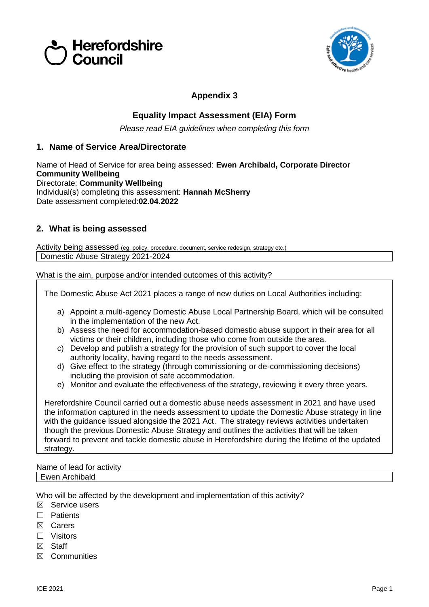



# **Appendix 3**

## **Equality Impact Assessment (EIA) Form**

*Please read EIA guidelines when completing this form*

### **1. Name of Service Area/Directorate**

Name of Head of Service for area being assessed: **Ewen Archibald, Corporate Director Community Wellbeing**  Directorate: **Community Wellbeing** Individual(s) completing this assessment: **Hannah McSherry** Date assessment completed:**02.04.2022**

## **2. What is being assessed**

Activity being assessed (eg. policy, procedure, document, service redesign, strategy etc.) Domestic Abuse Strategy 2021-2024

What is the aim, purpose and/or intended outcomes of this activity?

The Domestic Abuse Act 2021 places a range of new duties on Local Authorities including:

- a) Appoint a multi-agency Domestic Abuse Local Partnership Board, which will be consulted in the implementation of the new Act.
- b) Assess the need for accommodation-based domestic abuse support in their area for all victims or their children, including those who come from outside the area.
- c) Develop and publish a strategy for the provision of such support to cover the local authority locality, having regard to the needs assessment.
- d) Give effect to the strategy (through commissioning or de-commissioning decisions) including the provision of safe accommodation.
- e) Monitor and evaluate the effectiveness of the strategy, reviewing it every three years.

Herefordshire Council carried out a domestic abuse needs assessment in 2021 and have used the information captured in the needs assessment to update the Domestic Abuse strategy in line with the guidance issued alongside the 2021 Act. The strategy reviews activities undertaken though the previous Domestic Abuse Strategy and outlines the activities that will be taken forward to prevent and tackle domestic abuse in Herefordshire during the lifetime of the updated strategy.

#### Name of lead for activity Ewen Archibald

Who will be affected by the development and implementation of this activity?

- ☒ Service users
- ☐ Patients
- ☒ Carers
- ☐ Visitors
- ☒ Staff
- ☒ Communities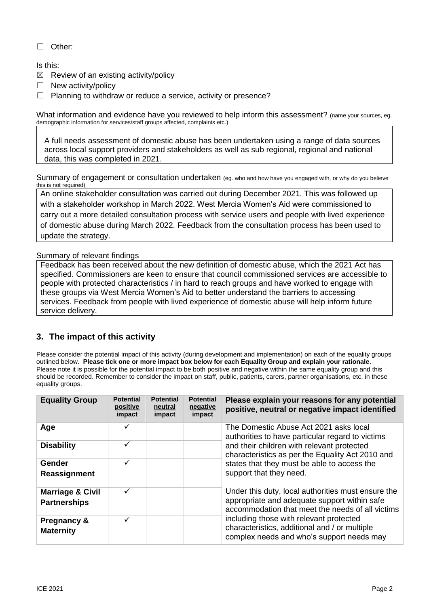#### ☐ Other:

#### Is this:

- $\boxtimes$  Review of an existing activity/policy
- □ New activity/policy
- $\Box$  Planning to withdraw or reduce a service, activity or presence?

What information and evidence have you reviewed to help inform this assessment? (name your sources, eg. demographic information for services/staff groups affected, complaints etc.)

A full needs assessment of domestic abuse has been undertaken using a range of data sources across local support providers and stakeholders as well as sub regional, regional and national data, this was completed in 2021.

Summary of engagement or consultation undertaken (eg. who and how have you engaged with, or why do you believe this is not required)

An online stakeholder consultation was carried out during December 2021. This was followed up with a stakeholder workshop in March 2022. West Mercia Women's Aid were commissioned to carry out a more detailed consultation process with service users and people with lived experience of domestic abuse during March 2022. Feedback from the consultation process has been used to update the strategy.

#### Summary of relevant findings

Feedback has been received about the new definition of domestic abuse, which the 2021 Act has specified. Commissioners are keen to ensure that council commissioned services are accessible to people with protected characteristics / in hard to reach groups and have worked to engage with these groups via West Mercia Women's Aid to better understand the barriers to accessing services. Feedback from people with lived experience of domestic abuse will help inform future service delivery.

### **3. The impact of this activity**

Please consider the potential impact of this activity (during development and implementation) on each of the equality groups outlined below. **Please tick one or more impact box below for each Equality Group and explain your rationale**. Please note it is possible for the potential impact to be both positive and negative within the same equality group and this should be recorded. Remember to consider the impact on staff, public, patients, carers, partner organisations, etc. in these equality groups.

| <b>Equality Group</b>                              | <b>Potential</b><br>positive<br>impact | <b>Potential</b><br>neutral<br>impact | <b>Potential</b><br>negative<br>impact | Please explain your reasons for any potential<br>positive, neutral or negative impact identified                                                       |  |  |
|----------------------------------------------------|----------------------------------------|---------------------------------------|----------------------------------------|--------------------------------------------------------------------------------------------------------------------------------------------------------|--|--|
| Age                                                | ✓                                      |                                       |                                        | The Domestic Abuse Act 2021 asks local<br>authorities to have particular regard to victims                                                             |  |  |
| <b>Disability</b>                                  | ✓                                      |                                       |                                        | and their children with relevant protected<br>characteristics as per the Equality Act 2010 and                                                         |  |  |
| Gender<br>Reassignment                             | ✓                                      |                                       |                                        | states that they must be able to access the<br>support that they need.                                                                                 |  |  |
| <b>Marriage &amp; Civil</b><br><b>Partnerships</b> | $\checkmark$                           |                                       |                                        | Under this duty, local authorities must ensure the<br>appropriate and adequate support within safe<br>accommodation that meet the needs of all victims |  |  |
| <b>Pregnancy &amp;</b><br><b>Maternity</b>         | ✓                                      |                                       |                                        | including those with relevant protected<br>characteristics, additional and / or multiple<br>complex needs and who's support needs may                  |  |  |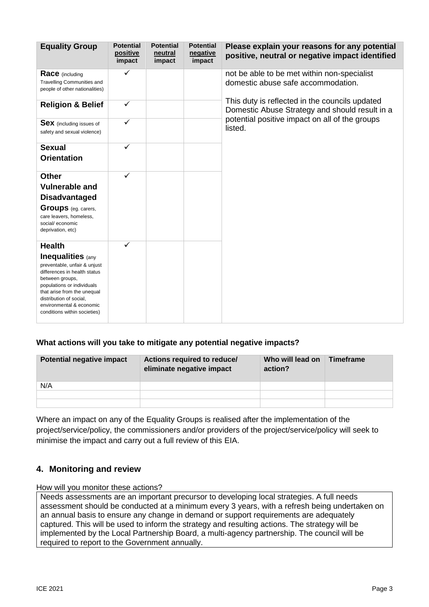| <b>Equality Group</b>                                                                                                                                                                                                                                                            | <b>Potential</b><br>positive<br>impact | <b>Potential</b><br>neutral<br>impact | <b>Potential</b><br>negative<br>impact | Please explain your reasons for any potential<br>positive, neutral or negative impact identified |  |  |  |
|----------------------------------------------------------------------------------------------------------------------------------------------------------------------------------------------------------------------------------------------------------------------------------|----------------------------------------|---------------------------------------|----------------------------------------|--------------------------------------------------------------------------------------------------|--|--|--|
| <b>Race</b> (including<br><b>Travelling Communities and</b><br>people of other nationalities)                                                                                                                                                                                    | $\checkmark$                           |                                       |                                        | not be able to be met within non-specialist<br>domestic abuse safe accommodation.                |  |  |  |
| <b>Religion &amp; Belief</b>                                                                                                                                                                                                                                                     | $\checkmark$                           |                                       |                                        | This duty is reflected in the councils updated<br>Domestic Abuse Strategy and should result in a |  |  |  |
| <b>Sex</b> (including issues of<br>safety and sexual violence)                                                                                                                                                                                                                   | $\checkmark$                           |                                       |                                        | potential positive impact on all of the groups<br>listed.                                        |  |  |  |
| <b>Sexual</b><br><b>Orientation</b>                                                                                                                                                                                                                                              | $\checkmark$                           |                                       |                                        |                                                                                                  |  |  |  |
| <b>Other</b><br><b>Vulnerable and</b><br><b>Disadvantaged</b><br><b>Groups</b> (eg. carers,<br>care leavers, homeless,<br>social/ economic<br>deprivation, etc)                                                                                                                  | $\checkmark$                           |                                       |                                        |                                                                                                  |  |  |  |
| <b>Health</b><br><b>Inequalities</b> (any<br>preventable, unfair & unjust<br>differences in health status<br>between groups,<br>populations or individuals<br>that arise from the unequal<br>distribution of social,<br>environmental & economic<br>conditions within societies) | $\checkmark$                           |                                       |                                        |                                                                                                  |  |  |  |

## **What actions will you take to mitigate any potential negative impacts?**

| <b>Potential negative impact</b> | Actions required to reduce/<br>eliminate negative impact | Who will lead on<br>action? | Timeframe |
|----------------------------------|----------------------------------------------------------|-----------------------------|-----------|
| N/A                              |                                                          |                             |           |
|                                  |                                                          |                             |           |
|                                  |                                                          |                             |           |

Where an impact on any of the Equality Groups is realised after the implementation of the project/service/policy, the commissioners and/or providers of the project/service/policy will seek to minimise the impact and carry out a full review of this EIA.

# **4. Monitoring and review**

How will you monitor these actions?

Needs assessments are an important precursor to developing local strategies. A full needs assessment should be conducted at a minimum every 3 years, with a refresh being undertaken on an annual basis to ensure any change in demand or support requirements are adequately captured. This will be used to inform the strategy and resulting actions. The strategy will be implemented by the Local Partnership Board, a multi-agency partnership. The council will be required to report to the Government annually.